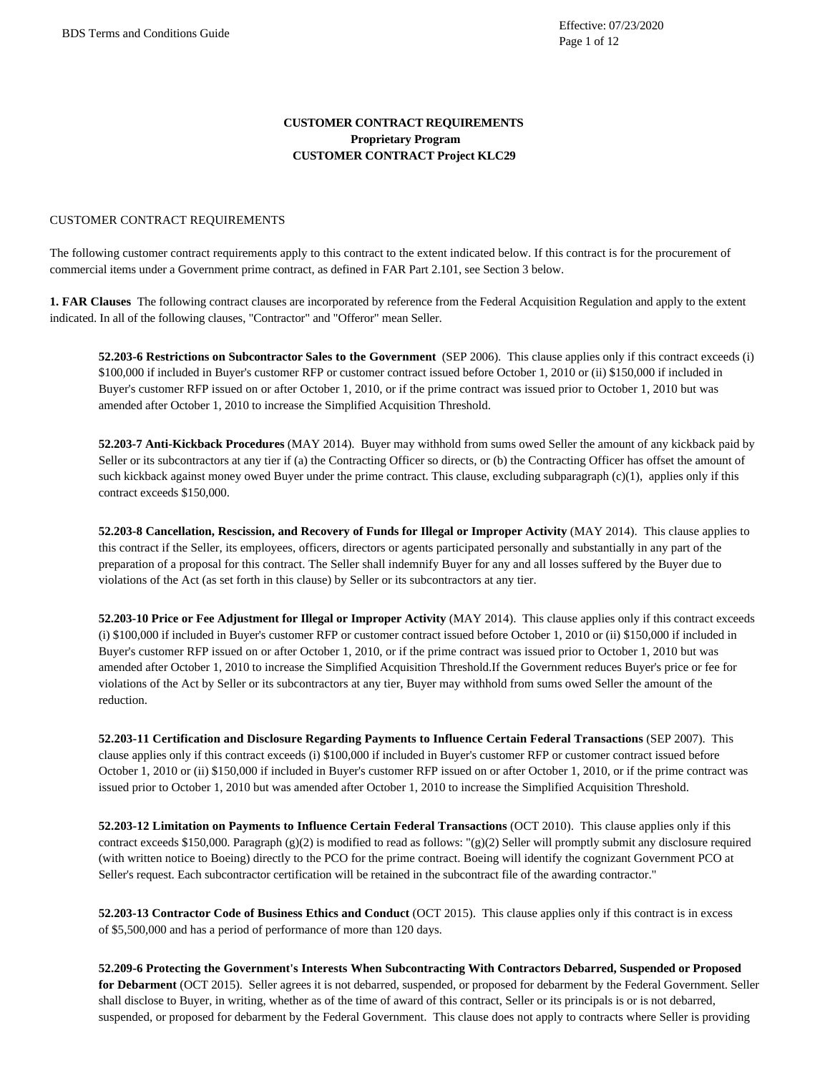### **CUSTOMER CONTRACT REQUIREMENTS Proprietary Program CUSTOMER CONTRACT Project KLC29**

#### CUSTOMER CONTRACT REQUIREMENTS

The following customer contract requirements apply to this contract to the extent indicated below. If this contract is for the procurement of commercial items under a Government prime contract, as defined in FAR Part 2.101, see Section 3 below.

**1. FAR Clauses** The following contract clauses are incorporated by reference from the Federal Acquisition Regulation and apply to the extent indicated. In all of the following clauses, "Contractor" and "Offeror" mean Seller.

**52.203-6 Restrictions on Subcontractor Sales to the Government** (SEP 2006). This clause applies only if this contract exceeds (i) \$100,000 if included in Buyer's customer RFP or customer contract issued before October 1, 2010 or (ii) \$150,000 if included in Buyer's customer RFP issued on or after October 1, 2010, or if the prime contract was issued prior to October 1, 2010 but was amended after October 1, 2010 to increase the Simplified Acquisition Threshold.

**52.203-7 Anti-Kickback Procedures** (MAY 2014). Buyer may withhold from sums owed Seller the amount of any kickback paid by Seller or its subcontractors at any tier if (a) the Contracting Officer so directs, or (b) the Contracting Officer has offset the amount of such kickback against money owed Buyer under the prime contract. This clause, excluding subparagraph (c)(1), applies only if this contract exceeds \$150,000.

**52.203-8 Cancellation, Rescission, and Recovery of Funds for Illegal or Improper Activity** (MAY 2014). This clause applies to this contract if the Seller, its employees, officers, directors or agents participated personally and substantially in any part of the preparation of a proposal for this contract. The Seller shall indemnify Buyer for any and all losses suffered by the Buyer due to violations of the Act (as set forth in this clause) by Seller or its subcontractors at any tier.

**52.203-10 Price or Fee Adjustment for Illegal or Improper Activity** (MAY 2014). This clause applies only if this contract exceeds (i) \$100,000 if included in Buyer's customer RFP or customer contract issued before October 1, 2010 or (ii) \$150,000 if included in Buyer's customer RFP issued on or after October 1, 2010, or if the prime contract was issued prior to October 1, 2010 but was amended after October 1, 2010 to increase the Simplified Acquisition Threshold.If the Government reduces Buyer's price or fee for violations of the Act by Seller or its subcontractors at any tier, Buyer may withhold from sums owed Seller the amount of the reduction.

**52.203-11 Certification and Disclosure Regarding Payments to Influence Certain Federal Transactions** (SEP 2007). This clause applies only if this contract exceeds (i) \$100,000 if included in Buyer's customer RFP or customer contract issued before October 1, 2010 or (ii) \$150,000 if included in Buyer's customer RFP issued on or after October 1, 2010, or if the prime contract was issued prior to October 1, 2010 but was amended after October 1, 2010 to increase the Simplified Acquisition Threshold.

**52.203-12 Limitation on Payments to Influence Certain Federal Transactions** (OCT 2010). This clause applies only if this contract exceeds \$150,000. Paragraph (g)(2) is modified to read as follows: "(g)(2) Seller will promptly submit any disclosure required (with written notice to Boeing) directly to the PCO for the prime contract. Boeing will identify the cognizant Government PCO at Seller's request. Each subcontractor certification will be retained in the subcontract file of the awarding contractor."

**52.203-13 Contractor Code of Business Ethics and Conduct** (OCT 2015). This clause applies only if this contract is in excess of \$5,500,000 and has a period of performance of more than 120 days.

**52.209-6 Protecting the Government's Interests When Subcontracting With Contractors Debarred, Suspended or Proposed for Debarment** (OCT 2015). Seller agrees it is not debarred, suspended, or proposed for debarment by the Federal Government. Seller shall disclose to Buyer, in writing, whether as of the time of award of this contract, Seller or its principals is or is not debarred, suspended, or proposed for debarment by the Federal Government. This clause does not apply to contracts where Seller is providing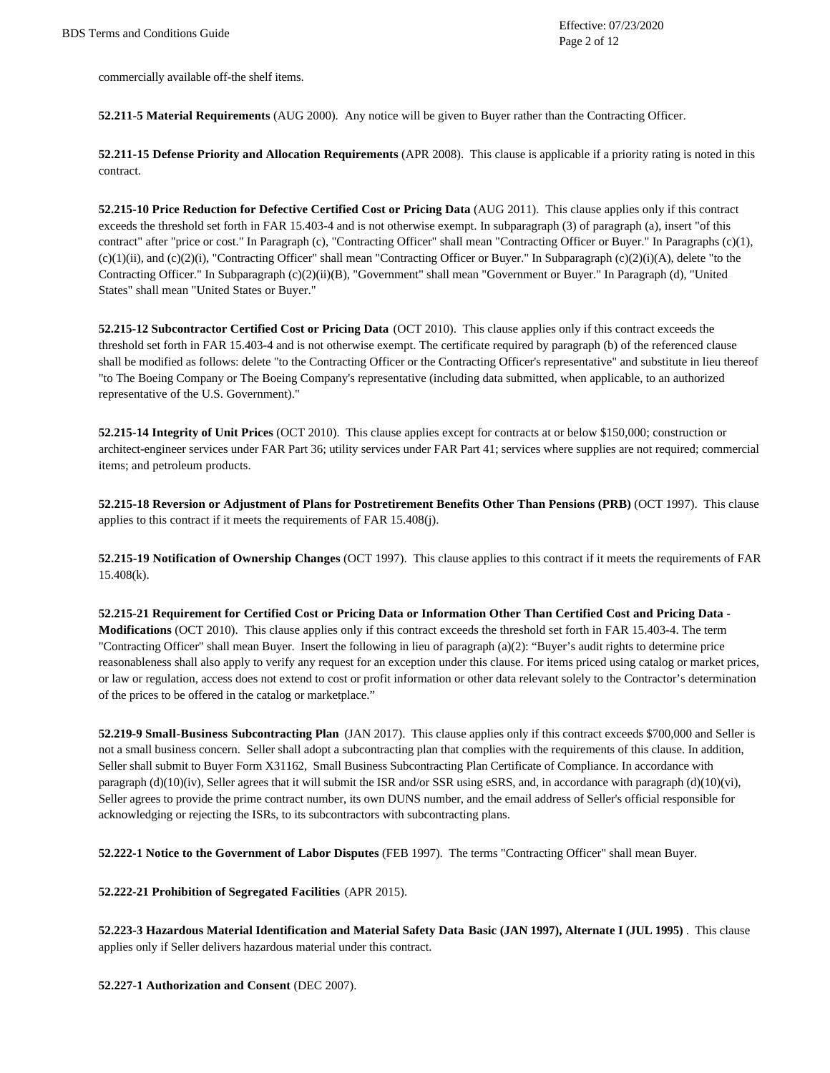commercially available off-the shelf items.

**52.211-5 Material Requirements** (AUG 2000). Any notice will be given to Buyer rather than the Contracting Officer.

**52.211-15 Defense Priority and Allocation Requirements** (APR 2008). This clause is applicable if a priority rating is noted in this contract.

**52.215-10 Price Reduction for Defective Certified Cost or Pricing Data** (AUG 2011). This clause applies only if this contract exceeds the threshold set forth in FAR 15.403-4 and is not otherwise exempt. In subparagraph (3) of paragraph (a), insert "of this contract" after "price or cost." In Paragraph (c), "Contracting Officer" shall mean "Contracting Officer or Buyer." In Paragraphs (c)(1),  $(c)(1)(ii)$ , and  $(c)(2)(i)$ , "Contracting Officer" shall mean "Contracting Officer or Buyer." In Subparagraph  $(c)(2)(i)(A)$ , delete "to the Contracting Officer." In Subparagraph (c)(2)(ii)(B), "Government" shall mean "Government or Buyer." In Paragraph (d), "United States" shall mean "United States or Buyer."

**52.215-12 Subcontractor Certified Cost or Pricing Data** (OCT 2010). This clause applies only if this contract exceeds the threshold set forth in FAR 15.403-4 and is not otherwise exempt. The certificate required by paragraph (b) of the referenced clause shall be modified as follows: delete "to the Contracting Officer or the Contracting Officer's representative" and substitute in lieu thereof "to The Boeing Company or The Boeing Company's representative (including data submitted, when applicable, to an authorized representative of the U.S. Government)."

**52.215-14 Integrity of Unit Prices** (OCT 2010). This clause applies except for contracts at or below \$150,000; construction or architect-engineer services under FAR Part 36; utility services under FAR Part 41; services where supplies are not required; commercial items; and petroleum products.

**52.215-18 Reversion or Adjustment of Plans for Postretirement Benefits Other Than Pensions (PRB)** (OCT 1997). This clause applies to this contract if it meets the requirements of FAR 15.408(j).

**52.215-19 Notification of Ownership Changes** (OCT 1997). This clause applies to this contract if it meets the requirements of FAR 15.408(k).

**52.215-21 Requirement for Certified Cost or Pricing Data or Information Other Than Certified Cost and Pricing Data - Modifications** (OCT 2010). This clause applies only if this contract exceeds the threshold set forth in FAR 15.403-4. The term "Contracting Officer" shall mean Buyer. Insert the following in lieu of paragraph (a)(2): "Buyer's audit rights to determine price reasonableness shall also apply to verify any request for an exception under this clause. For items priced using catalog or market prices, or law or regulation, access does not extend to cost or profit information or other data relevant solely to the Contractor's determination of the prices to be offered in the catalog or marketplace."

**52.219-9 Small-Business Subcontracting Plan** (JAN 2017). This clause applies only if this contract exceeds \$700,000 and Seller is not a small business concern. Seller shall adopt a subcontracting plan that complies with the requirements of this clause. In addition, Seller shall submit to Buyer Form X31162, Small Business Subcontracting Plan Certificate of Compliance. In accordance with paragraph (d)(10)(iv), Seller agrees that it will submit the ISR and/or SSR using eSRS, and, in accordance with paragraph (d)(10)(vi), Seller agrees to provide the prime contract number, its own DUNS number, and the email address of Seller's official responsible for acknowledging or rejecting the ISRs, to its subcontractors with subcontracting plans.

**52.222-1 Notice to the Government of Labor Disputes** (FEB 1997). The terms "Contracting Officer" shall mean Buyer.

**52.222-21 Prohibition of Segregated Facilities** (APR 2015).

**52.223-3 Hazardous Material Identification and Material Safety Data Basic (JAN 1997), Alternate I (JUL 1995)** . This clause applies only if Seller delivers hazardous material under this contract.

**52.227-1 Authorization and Consent** (DEC 2007).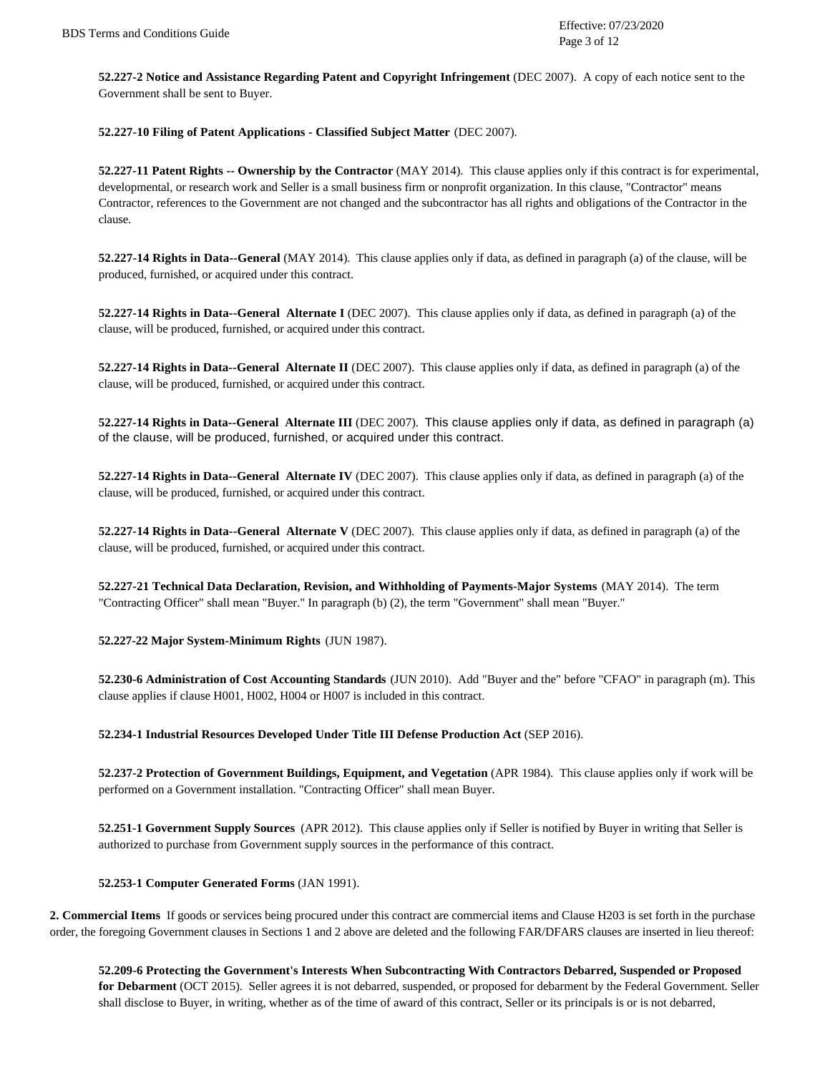**52.227-2 Notice and Assistance Regarding Patent and Copyright Infringement** (DEC 2007). A copy of each notice sent to the Government shall be sent to Buyer.

**52.227-10 Filing of Patent Applications - Classified Subject Matter** (DEC 2007).

**52.227-11 Patent Rights -- Ownership by the Contractor** (MAY 2014). This clause applies only if this contract is for experimental, developmental, or research work and Seller is a small business firm or nonprofit organization. In this clause, "Contractor" means Contractor, references to the Government are not changed and the subcontractor has all rights and obligations of the Contractor in the clause.

**52.227-14 Rights in Data--General** (MAY 2014). This clause applies only if data, as defined in paragraph (a) of the clause, will be produced, furnished, or acquired under this contract.

**52.227-14 Rights in Data--General Alternate I** (DEC 2007). This clause applies only if data, as defined in paragraph (a) of the clause, will be produced, furnished, or acquired under this contract.

**52.227-14 Rights in Data--General Alternate II** (DEC 2007). This clause applies only if data, as defined in paragraph (a) of the clause, will be produced, furnished, or acquired under this contract.

**52.227-14 Rights in Data--General Alternate III** (DEC 2007). This clause applies only if data, as defined in paragraph (a) of the clause, will be produced, furnished, or acquired under this contract.

**52.227-14 Rights in Data--General Alternate IV** (DEC 2007). This clause applies only if data, as defined in paragraph (a) of the clause, will be produced, furnished, or acquired under this contract.

**52.227-14 Rights in Data--General Alternate V** (DEC 2007). This clause applies only if data, as defined in paragraph (a) of the clause, will be produced, furnished, or acquired under this contract.

**52.227-21 Technical Data Declaration, Revision, and Withholding of Payments-Major Systems** (MAY 2014). The term "Contracting Officer" shall mean "Buyer." In paragraph (b) (2), the term "Government" shall mean "Buyer."

**52.227-22 Major System-Minimum Rights** (JUN 1987).

**52.230-6 Administration of Cost Accounting Standards** (JUN 2010). Add "Buyer and the" before "CFAO" in paragraph (m). This clause applies if clause H001, H002, H004 or H007 is included in this contract.

**52.234-1 Industrial Resources Developed Under Title III Defense Production Act** (SEP 2016).

**52.237-2 Protection of Government Buildings, Equipment, and Vegetation** (APR 1984). This clause applies only if work will be performed on a Government installation. "Contracting Officer" shall mean Buyer.

**52.251-1 Government Supply Sources** (APR 2012). This clause applies only if Seller is notified by Buyer in writing that Seller is authorized to purchase from Government supply sources in the performance of this contract.

**52.253-1 Computer Generated Forms** (JAN 1991).

**2. Commercial Items** If goods or services being procured under this contract are commercial items and Clause H203 is set forth in the purchase order, the foregoing Government clauses in Sections 1 and 2 above are deleted and the following FAR/DFARS clauses are inserted in lieu thereof:

**52.209-6 Protecting the Government's Interests When Subcontracting With Contractors Debarred, Suspended or Proposed for Debarment** (OCT 2015). Seller agrees it is not debarred, suspended, or proposed for debarment by the Federal Government. Seller shall disclose to Buyer, in writing, whether as of the time of award of this contract, Seller or its principals is or is not debarred,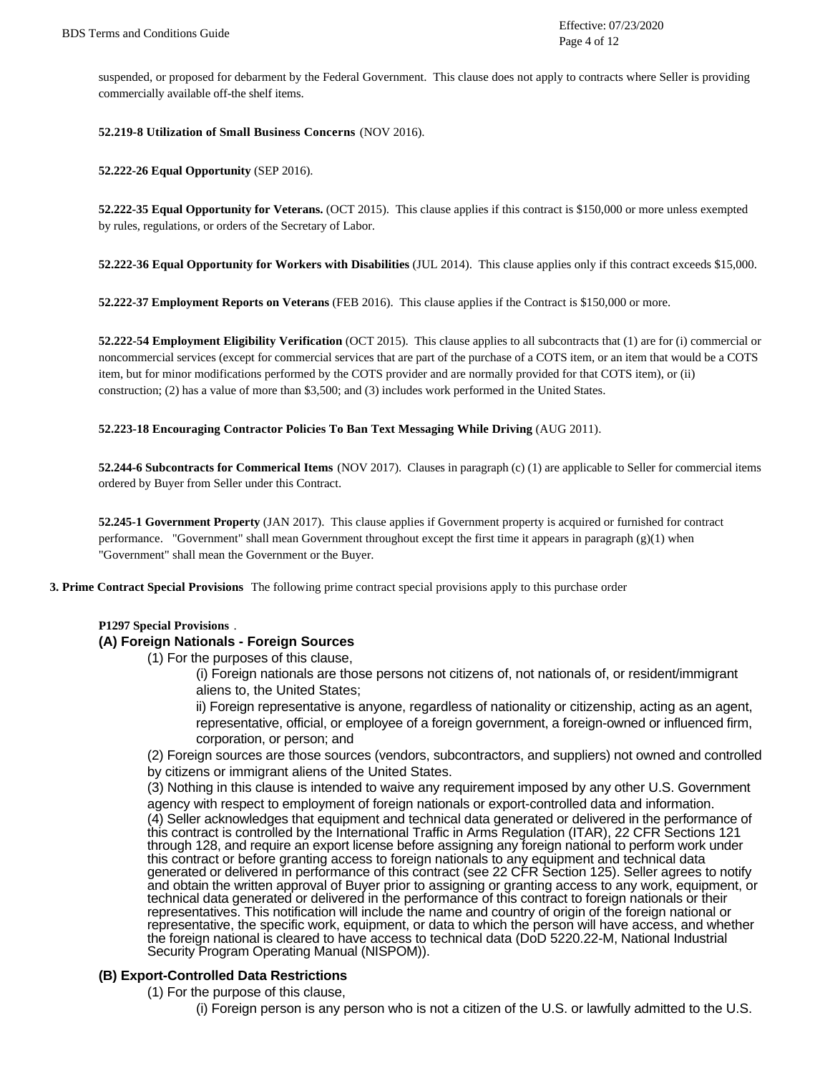suspended, or proposed for debarment by the Federal Government. This clause does not apply to contracts where Seller is providing commercially available off-the shelf items.

#### **52.219-8 Utilization of Small Business Concerns** (NOV 2016).

**52.222-26 Equal Opportunity** (SEP 2016).

**52.222-35 Equal Opportunity for Veterans.** (OCT 2015). This clause applies if this contract is \$150,000 or more unless exempted by rules, regulations, or orders of the Secretary of Labor.

**52.222-36 Equal Opportunity for Workers with Disabilities** (JUL 2014). This clause applies only if this contract exceeds \$15,000.

**52.222-37 Employment Reports on Veterans** (FEB 2016). This clause applies if the Contract is \$150,000 or more.

**52.222-54 Employment Eligibility Verification** (OCT 2015). This clause applies to all subcontracts that (1) are for (i) commercial or noncommercial services (except for commercial services that are part of the purchase of a COTS item, or an item that would be a COTS item, but for minor modifications performed by the COTS provider and are normally provided for that COTS item), or (ii) construction; (2) has a value of more than \$3,500; and (3) includes work performed in the United States.

#### **52.223-18 Encouraging Contractor Policies To Ban Text Messaging While Driving** (AUG 2011).

**52.244-6 Subcontracts for Commerical Items** (NOV 2017). Clauses in paragraph (c) (1) are applicable to Seller for commercial items ordered by Buyer from Seller under this Contract.

**52.245-1 Government Property** (JAN 2017). This clause applies if Government property is acquired or furnished for contract performance. "Government" shall mean Government throughout except the first time it appears in paragraph (g)(1) when "Government" shall mean the Government or the Buyer.

**3. Prime Contract Special Provisions** The following prime contract special provisions apply to this purchase order

#### **P1297 Special Provisions** .

### **(A) Foreign Nationals - Foreign Sources**

(1) For the purposes of this clause,

(i) Foreign nationals are those persons not citizens of, not nationals of, or resident/immigrant aliens to, the United States;

ii) Foreign representative is anyone, regardless of nationality or citizenship, acting as an agent, representative, official, or employee of a foreign government, a foreign-owned or influenced firm, corporation, or person; and

(2) Foreign sources are those sources (vendors, subcontractors, and suppliers) not owned and controlled by citizens or immigrant aliens of the United States.

(3) Nothing in this clause is intended to waive any requirement imposed by any other U.S. Government agency with respect to employment of foreign nationals or export-controlled data and information. (4) Seller acknowledges that equipment and technical data generated or delivered in the performance of this contract is controlled by the International Traffic in Arms Regulation (ITAR), 22 CFR Sections 121 through 128, and require an export license before assigning any foreign national to perform work under this contract or before granting access to foreign nationals to any equipment and technical data generated or delivered in performance of this contract (see 22 CFR Section 125). Seller agrees to notify and obtain the written approval of Buyer prior to assigning or granting access to any work, equipment, or technical data generated or delivered in the performance of this contract to foreign nationals or their representatives. This notification will include the name and country of origin of the foreign national or representative, the specific work, equipment, or data to which the person will have access, and whether the foreign national is cleared to have access to technical data (DoD 5220.22-M, National Industrial Security Program Operating Manual (NISPOM)).

### **(B) Export-Controlled Data Restrictions**

- (1) For the purpose of this clause,
	- (i) Foreign person is any person who is not a citizen of the U.S. or lawfully admitted to the U.S.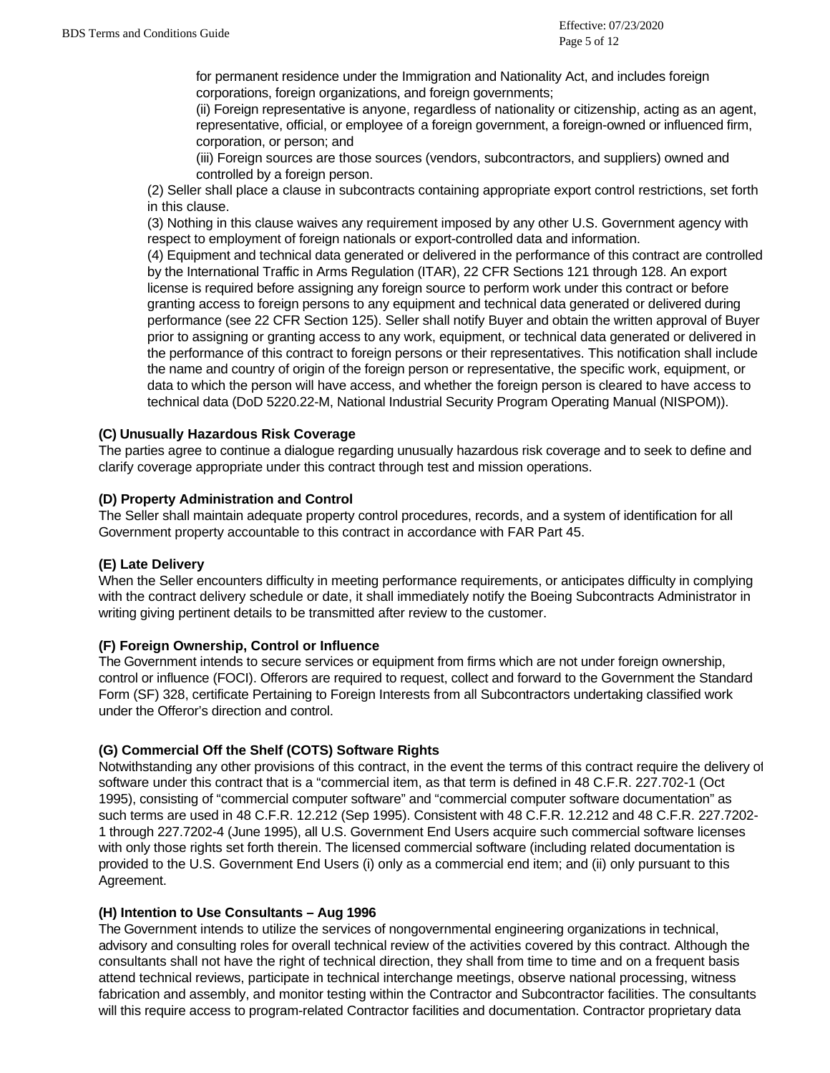for permanent residence under the Immigration and Nationality Act, and includes foreign corporations, foreign organizations, and foreign governments;

(ii) Foreign representative is anyone, regardless of nationality or citizenship, acting as an agent, representative, official, or employee of a foreign government, a foreign-owned or influenced firm, corporation, or person; and

(iii) Foreign sources are those sources (vendors, subcontractors, and suppliers) owned and controlled by a foreign person.

(2) Seller shall place a clause in subcontracts containing appropriate export control restrictions, set forth in this clause.

(3) Nothing in this clause waives any requirement imposed by any other U.S. Government agency with respect to employment of foreign nationals or export-controlled data and information.

(4) Equipment and technical data generated or delivered in the performance of this contract are controlled by the International Traffic in Arms Regulation (ITAR), 22 CFR Sections 121 through 128. An export license is required before assigning any foreign source to perform work under this contract or before granting access to foreign persons to any equipment and technical data generated or delivered during performance (see 22 CFR Section 125). Seller shall notify Buyer and obtain the written approval of Buyer prior to assigning or granting access to any work, equipment, or technical data generated or delivered in the performance of this contract to foreign persons or their representatives. This notification shall include the name and country of origin of the foreign person or representative, the specific work, equipment, or data to which the person will have access, and whether the foreign person is cleared to have access to technical data (DoD 5220.22-M, National Industrial Security Program Operating Manual (NISPOM)).

# **(C) Unusually Hazardous Risk Coverage**

The parties agree to continue a dialogue regarding unusually hazardous risk coverage and to seek to define and clarify coverage appropriate under this contract through test and mission operations.

## **(D) Property Administration and Control**

The Seller shall maintain adequate property control procedures, records, and a system of identification for all Government property accountable to this contract in accordance with FAR Part 45.

# **(E) Late Delivery**

When the Seller encounters difficulty in meeting performance requirements, or anticipates difficulty in complying with the contract delivery schedule or date, it shall immediately notify the Boeing Subcontracts Administrator in writing giving pertinent details to be transmitted after review to the customer.

# **(F) Foreign Ownership, Control or Influence**

The Government intends to secure services or equipment from firms which are not under foreign ownership, control or influence (FOCI). Offerors are required to request, collect and forward to the Government the Standard Form (SF) 328, certificate Pertaining to Foreign Interests from all Subcontractors undertaking classified work under the Offeror's direction and control.

# **(G) Commercial Off the Shelf (COTS) Software Rights**

Notwithstanding any other provisions of this contract, in the event the terms of this contract require the delivery of software under this contract that is a "commercial item, as that term is defined in 48 C.F.R. 227.702-1 (Oct 1995), consisting of "commercial computer software" and "commercial computer software documentation" as such terms are used in 48 C.F.R. 12.212 (Sep 1995). Consistent with 48 C.F.R. 12.212 and 48 C.F.R. 227.7202- 1 through 227.7202-4 (June 1995), all U.S. Government End Users acquire such commercial software licenses with only those rights set forth therein. The licensed commercial software (including related documentation is provided to the U.S. Government End Users (i) only as a commercial end item; and (ii) only pursuant to this Agreement.

### **(H) Intention to Use Consultants – Aug 1996**

The Government intends to utilize the services of nongovernmental engineering organizations in technical, advisory and consulting roles for overall technical review of the activities covered by this contract. Although the consultants shall not have the right of technical direction, they shall from time to time and on a frequent basis attend technical reviews, participate in technical interchange meetings, observe national processing, witness fabrication and assembly, and monitor testing within the Contractor and Subcontractor facilities. The consultants will this require access to program-related Contractor facilities and documentation. Contractor proprietary data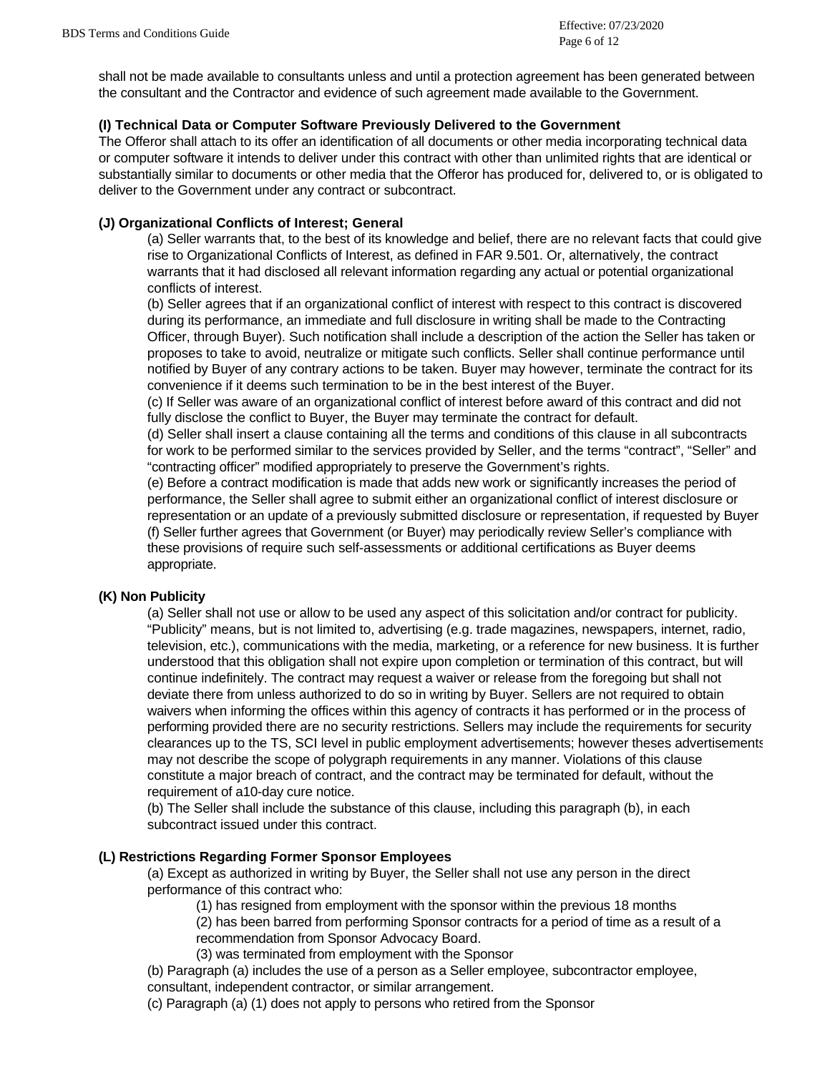shall not be made available to consultants unless and until a protection agreement has been generated between the consultant and the Contractor and evidence of such agreement made available to the Government.

## **(I) Technical Data or Computer Software Previously Delivered to the Government**

The Offeror shall attach to its offer an identification of all documents or other media incorporating technical data or computer software it intends to deliver under this contract with other than unlimited rights that are identical or substantially similar to documents or other media that the Offeror has produced for, delivered to, or is obligated to deliver to the Government under any contract or subcontract.

## **(J) Organizational Conflicts of Interest; General**

(a) Seller warrants that, to the best of its knowledge and belief, there are no relevant facts that could give rise to Organizational Conflicts of Interest, as defined in FAR 9.501. Or, alternatively, the contract warrants that it had disclosed all relevant information regarding any actual or potential organizational conflicts of interest.

(b) Seller agrees that if an organizational conflict of interest with respect to this contract is discovered during its performance, an immediate and full disclosure in writing shall be made to the Contracting Officer, through Buyer). Such notification shall include a description of the action the Seller has taken or proposes to take to avoid, neutralize or mitigate such conflicts. Seller shall continue performance until notified by Buyer of any contrary actions to be taken. Buyer may however, terminate the contract for its convenience if it deems such termination to be in the best interest of the Buyer.

(c) If Seller was aware of an organizational conflict of interest before award of this contract and did not fully disclose the conflict to Buyer, the Buyer may terminate the contract for default.

(d) Seller shall insert a clause containing all the terms and conditions of this clause in all subcontracts for work to be performed similar to the services provided by Seller, and the terms "contract", "Seller" and "contracting officer" modified appropriately to preserve the Government's rights.

(e) Before a contract modification is made that adds new work or significantly increases the period of performance, the Seller shall agree to submit either an organizational conflict of interest disclosure or representation or an update of a previously submitted disclosure or representation, if requested by Buyer (f) Seller further agrees that Government (or Buyer) may periodically review Seller's compliance with these provisions of require such self-assessments or additional certifications as Buyer deems appropriate.

# **(K) Non Publicity**

(a) Seller shall not use or allow to be used any aspect of this solicitation and/or contract for publicity. "Publicity" means, but is not limited to, advertising (e.g. trade magazines, newspapers, internet, radio, television, etc.), communications with the media, marketing, or a reference for new business. It is further understood that this obligation shall not expire upon completion or termination of this contract, but will continue indefinitely. The contract may request a waiver or release from the foregoing but shall not deviate there from unless authorized to do so in writing by Buyer. Sellers are not required to obtain waivers when informing the offices within this agency of contracts it has performed or in the process of performing provided there are no security restrictions. Sellers may include the requirements for security clearances up to the TS, SCI level in public employment advertisements; however theses advertisements may not describe the scope of polygraph requirements in any manner. Violations of this clause constitute a major breach of contract, and the contract may be terminated for default, without the requirement of a10-day cure notice.

(b) The Seller shall include the substance of this clause, including this paragraph (b), in each subcontract issued under this contract.

# **(L) Restrictions Regarding Former Sponsor Employees**

(a) Except as authorized in writing by Buyer, the Seller shall not use any person in the direct performance of this contract who:

(1) has resigned from employment with the sponsor within the previous 18 months

(2) has been barred from performing Sponsor contracts for a period of time as a result of a

recommendation from Sponsor Advocacy Board.

(3) was terminated from employment with the Sponsor

(b) Paragraph (a) includes the use of a person as a Seller employee, subcontractor employee, consultant, independent contractor, or similar arrangement.

(c) Paragraph (a) (1) does not apply to persons who retired from the Sponsor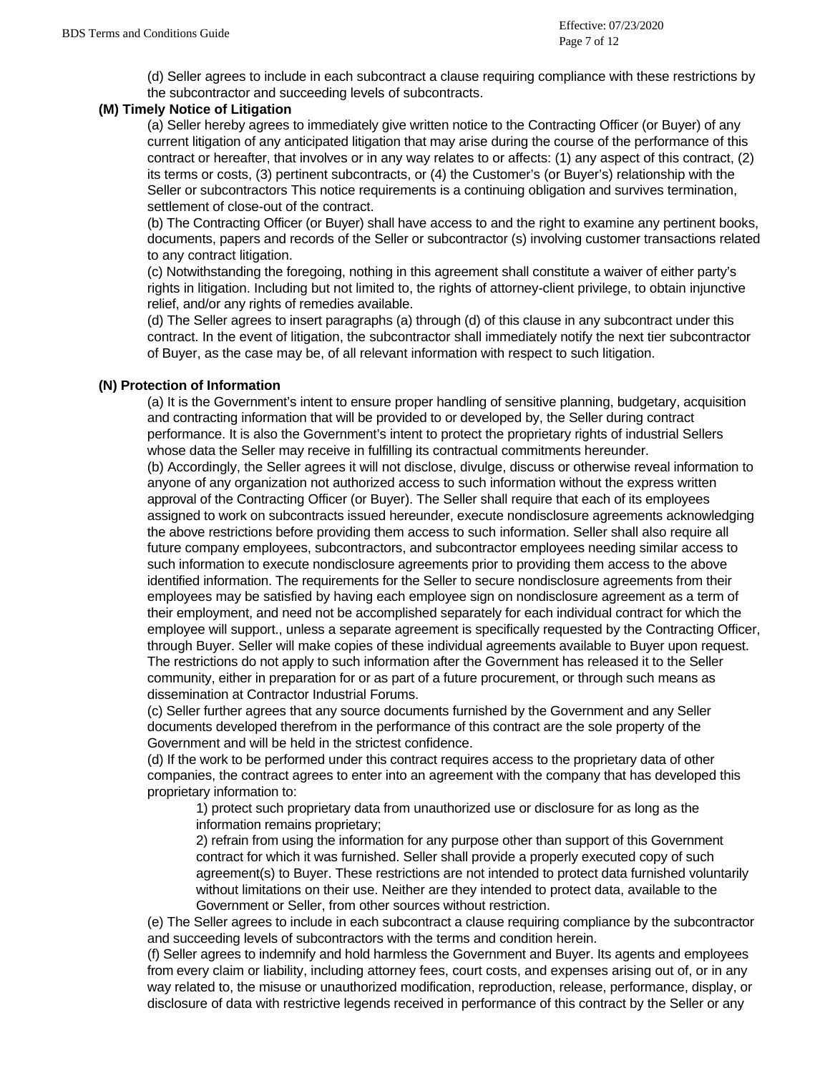(d) Seller agrees to include in each subcontract a clause requiring compliance with these restrictions by the subcontractor and succeeding levels of subcontracts.

## **(M) Timely Notice of Litigation**

(a) Seller hereby agrees to immediately give written notice to the Contracting Officer (or Buyer) of any current litigation of any anticipated litigation that may arise during the course of the performance of this contract or hereafter, that involves or in any way relates to or affects: (1) any aspect of this contract, (2) its terms or costs, (3) pertinent subcontracts, or (4) the Customer's (or Buyer's) relationship with the Seller or subcontractors This notice requirements is a continuing obligation and survives termination, settlement of close-out of the contract.

(b) The Contracting Officer (or Buyer) shall have access to and the right to examine any pertinent books, documents, papers and records of the Seller or subcontractor (s) involving customer transactions related to any contract litigation.

(c) Notwithstanding the foregoing, nothing in this agreement shall constitute a waiver of either party's rights in litigation. Including but not limited to, the rights of attorney-client privilege, to obtain injunctive relief, and/or any rights of remedies available.

(d) The Seller agrees to insert paragraphs (a) through (d) of this clause in any subcontract under this contract. In the event of litigation, the subcontractor shall immediately notify the next tier subcontractor of Buyer, as the case may be, of all relevant information with respect to such litigation.

## **(N) Protection of Information**

(a) It is the Government's intent to ensure proper handling of sensitive planning, budgetary, acquisition and contracting information that will be provided to or developed by, the Seller during contract performance. It is also the Government's intent to protect the proprietary rights of industrial Sellers whose data the Seller may receive in fulfilling its contractual commitments hereunder.

(b) Accordingly, the Seller agrees it will not disclose, divulge, discuss or otherwise reveal information to anyone of any organization not authorized access to such information without the express written approval of the Contracting Officer (or Buyer). The Seller shall require that each of its employees assigned to work on subcontracts issued hereunder, execute nondisclosure agreements acknowledging the above restrictions before providing them access to such information. Seller shall also require all future company employees, subcontractors, and subcontractor employees needing similar access to such information to execute nondisclosure agreements prior to providing them access to the above identified information. The requirements for the Seller to secure nondisclosure agreements from their employees may be satisfied by having each employee sign on nondisclosure agreement as a term of their employment, and need not be accomplished separately for each individual contract for which the employee will support., unless a separate agreement is specifically requested by the Contracting Officer, through Buyer. Seller will make copies of these individual agreements available to Buyer upon request. The restrictions do not apply to such information after the Government has released it to the Seller community, either in preparation for or as part of a future procurement, or through such means as dissemination at Contractor Industrial Forums.

(c) Seller further agrees that any source documents furnished by the Government and any Seller documents developed therefrom in the performance of this contract are the sole property of the Government and will be held in the strictest confidence.

(d) If the work to be performed under this contract requires access to the proprietary data of other companies, the contract agrees to enter into an agreement with the company that has developed this proprietary information to:

1) protect such proprietary data from unauthorized use or disclosure for as long as the information remains proprietary;

2) refrain from using the information for any purpose other than support of this Government contract for which it was furnished. Seller shall provide a properly executed copy of such agreement(s) to Buyer. These restrictions are not intended to protect data furnished voluntarily without limitations on their use. Neither are they intended to protect data, available to the Government or Seller, from other sources without restriction.

(e) The Seller agrees to include in each subcontract a clause requiring compliance by the subcontractor and succeeding levels of subcontractors with the terms and condition herein.

(f) Seller agrees to indemnify and hold harmless the Government and Buyer. Its agents and employees from every claim or liability, including attorney fees, court costs, and expenses arising out of, or in any way related to, the misuse or unauthorized modification, reproduction, release, performance, display, or disclosure of data with restrictive legends received in performance of this contract by the Seller or any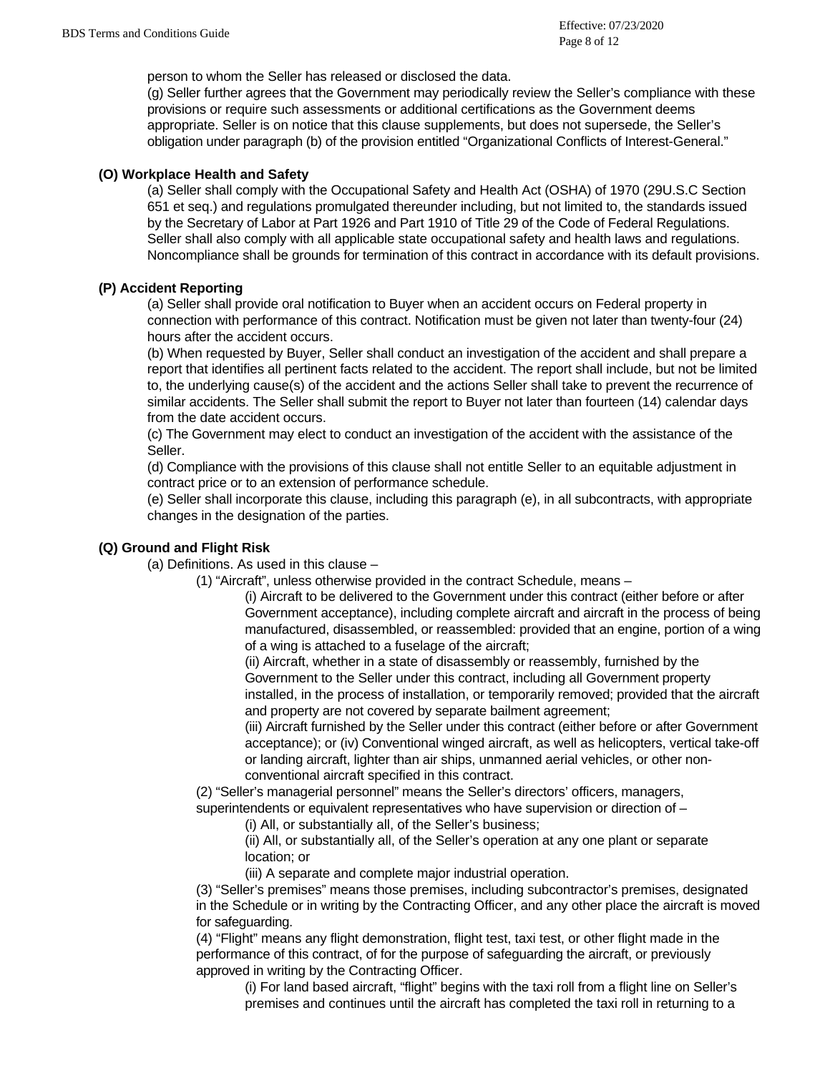person to whom the Seller has released or disclosed the data.

(g) Seller further agrees that the Government may periodically review the Seller's compliance with these provisions or require such assessments or additional certifications as the Government deems appropriate. Seller is on notice that this clause supplements, but does not supersede, the Seller's obligation under paragraph (b) of the provision entitled "Organizational Conflicts of Interest-General."

### **(O) Workplace Health and Safety**

(a) Seller shall comply with the Occupational Safety and Health Act (OSHA) of 1970 (29U.S.C Section 651 et seq.) and regulations promulgated thereunder including, but not limited to, the standards issued by the Secretary of Labor at Part 1926 and Part 1910 of Title 29 of the Code of Federal Regulations. Seller shall also comply with all applicable state occupational safety and health laws and regulations. Noncompliance shall be grounds for termination of this contract in accordance with its default provisions.

## **(P) Accident Reporting**

(a) Seller shall provide oral notification to Buyer when an accident occurs on Federal property in connection with performance of this contract. Notification must be given not later than twenty-four (24) hours after the accident occurs.

(b) When requested by Buyer, Seller shall conduct an investigation of the accident and shall prepare a report that identifies all pertinent facts related to the accident. The report shall include, but not be limited to, the underlying cause(s) of the accident and the actions Seller shall take to prevent the recurrence of similar accidents. The Seller shall submit the report to Buyer not later than fourteen (14) calendar days from the date accident occurs.

(c) The Government may elect to conduct an investigation of the accident with the assistance of the Seller.

(d) Compliance with the provisions of this clause shall not entitle Seller to an equitable adjustment in contract price or to an extension of performance schedule.

(e) Seller shall incorporate this clause, including this paragraph (e), in all subcontracts, with appropriate changes in the designation of the parties.

# **(Q) Ground and Flight Risk**

(a) Definitions. As used in this clause –

(1) "Aircraft", unless otherwise provided in the contract Schedule, means –

(i) Aircraft to be delivered to the Government under this contract (either before or after Government acceptance), including complete aircraft and aircraft in the process of being manufactured, disassembled, or reassembled: provided that an engine, portion of a wing of a wing is attached to a fuselage of the aircraft;

(ii) Aircraft, whether in a state of disassembly or reassembly, furnished by the Government to the Seller under this contract, including all Government property installed, in the process of installation, or temporarily removed; provided that the aircraft and property are not covered by separate bailment agreement;

(iii) Aircraft furnished by the Seller under this contract (either before or after Government acceptance); or (iv) Conventional winged aircraft, as well as helicopters, vertical take-off or landing aircraft, lighter than air ships, unmanned aerial vehicles, or other nonconventional aircraft specified in this contract.

(2) "Seller's managerial personnel" means the Seller's directors' officers, managers,

superintendents or equivalent representatives who have supervision or direction of –

(i) All, or substantially all, of the Seller's business;

(ii) All, or substantially all, of the Seller's operation at any one plant or separate location; or

(iii) A separate and complete major industrial operation.

(3) "Seller's premises" means those premises, including subcontractor's premises, designated in the Schedule or in writing by the Contracting Officer, and any other place the aircraft is moved for safeguarding.

(4) "Flight" means any flight demonstration, flight test, taxi test, or other flight made in the performance of this contract, of for the purpose of safeguarding the aircraft, or previously approved in writing by the Contracting Officer.

(i) For land based aircraft, "flight" begins with the taxi roll from a flight line on Seller's premises and continues until the aircraft has completed the taxi roll in returning to a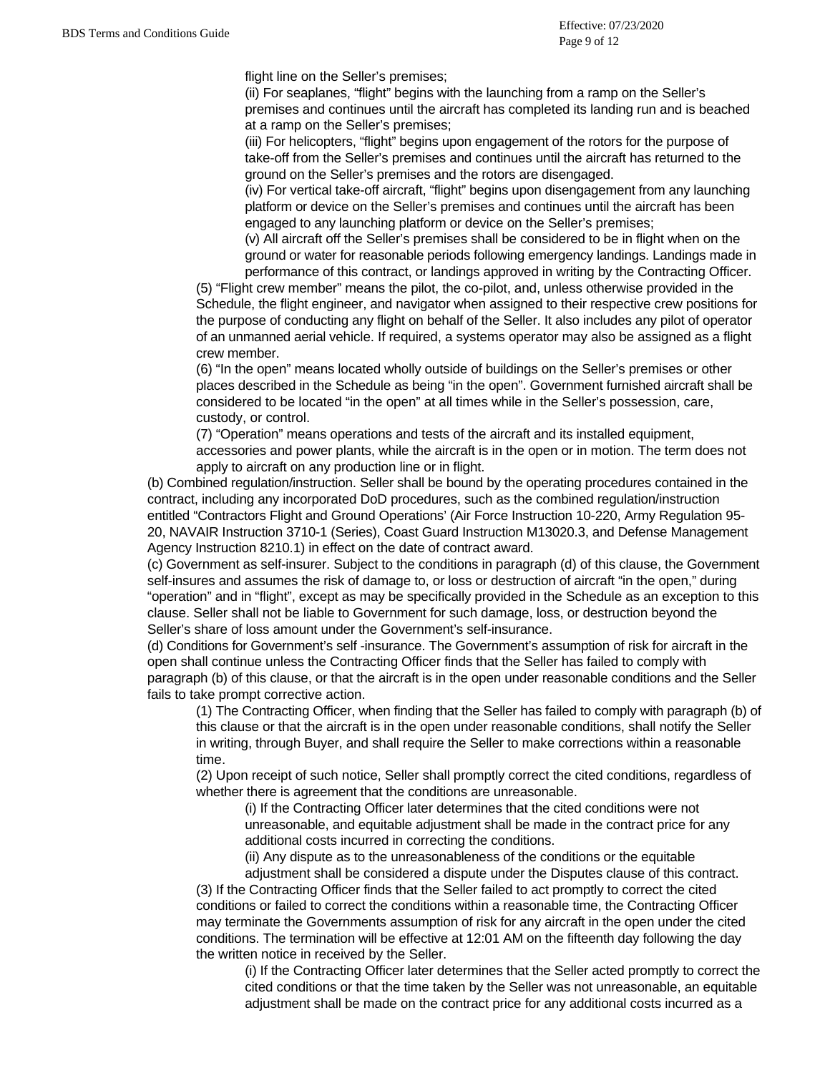flight line on the Seller's premises;

(ii) For seaplanes, "flight" begins with the launching from a ramp on the Seller's premises and continues until the aircraft has completed its landing run and is beached at a ramp on the Seller's premises;

(iii) For helicopters, "flight" begins upon engagement of the rotors for the purpose of take-off from the Seller's premises and continues until the aircraft has returned to the ground on the Seller's premises and the rotors are disengaged.

(iv) For vertical take-off aircraft, "flight" begins upon disengagement from any launching platform or device on the Seller's premises and continues until the aircraft has been engaged to any launching platform or device on the Seller's premises;

(v) All aircraft off the Seller's premises shall be considered to be in flight when on the ground or water for reasonable periods following emergency landings. Landings made in performance of this contract, or landings approved in writing by the Contracting Officer.

(5) "Flight crew member" means the pilot, the co-pilot, and, unless otherwise provided in the Schedule, the flight engineer, and navigator when assigned to their respective crew positions for the purpose of conducting any flight on behalf of the Seller. It also includes any pilot of operator of an unmanned aerial vehicle. If required, a systems operator may also be assigned as a flight crew member.

(6) "In the open" means located wholly outside of buildings on the Seller's premises or other places described in the Schedule as being "in the open". Government furnished aircraft shall be considered to be located "in the open" at all times while in the Seller's possession, care, custody, or control.

(7) "Operation" means operations and tests of the aircraft and its installed equipment, accessories and power plants, while the aircraft is in the open or in motion. The term does not apply to aircraft on any production line or in flight.

(b) Combined regulation/instruction. Seller shall be bound by the operating procedures contained in the contract, including any incorporated DoD procedures, such as the combined regulation/instruction entitled "Contractors Flight and Ground Operations' (Air Force Instruction 10-220, Army Regulation 95- 20, NAVAIR Instruction 3710-1 (Series), Coast Guard Instruction M13020.3, and Defense Management Agency Instruction 8210.1) in effect on the date of contract award.

(c) Government as self-insurer. Subject to the conditions in paragraph (d) of this clause, the Government self-insures and assumes the risk of damage to, or loss or destruction of aircraft "in the open," during "operation" and in "flight", except as may be specifically provided in the Schedule as an exception to this clause. Seller shall not be liable to Government for such damage, loss, or destruction beyond the Seller's share of loss amount under the Government's self-insurance.

(d) Conditions for Government's self -insurance. The Government's assumption of risk for aircraft in the open shall continue unless the Contracting Officer finds that the Seller has failed to comply with paragraph (b) of this clause, or that the aircraft is in the open under reasonable conditions and the Seller fails to take prompt corrective action.

(1) The Contracting Officer, when finding that the Seller has failed to comply with paragraph (b) of this clause or that the aircraft is in the open under reasonable conditions, shall notify the Seller in writing, through Buyer, and shall require the Seller to make corrections within a reasonable time.

(2) Upon receipt of such notice, Seller shall promptly correct the cited conditions, regardless of whether there is agreement that the conditions are unreasonable.

(i) If the Contracting Officer later determines that the cited conditions were not unreasonable, and equitable adjustment shall be made in the contract price for any additional costs incurred in correcting the conditions.

(ii) Any dispute as to the unreasonableness of the conditions or the equitable

adjustment shall be considered a dispute under the Disputes clause of this contract. (3) If the Contracting Officer finds that the Seller failed to act promptly to correct the cited conditions or failed to correct the conditions within a reasonable time, the Contracting Officer may terminate the Governments assumption of risk for any aircraft in the open under the cited conditions. The termination will be effective at 12:01 AM on the fifteenth day following the day the written notice in received by the Seller.

(i) If the Contracting Officer later determines that the Seller acted promptly to correct the cited conditions or that the time taken by the Seller was not unreasonable, an equitable adjustment shall be made on the contract price for any additional costs incurred as a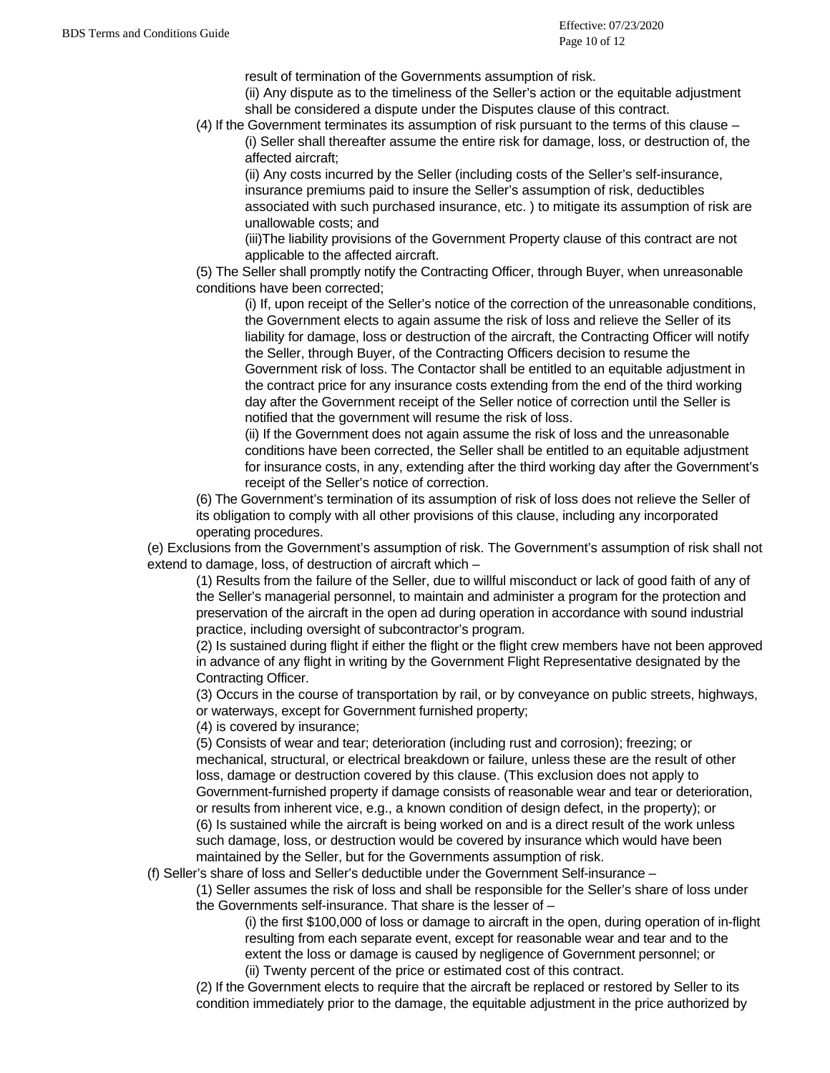result of termination of the Governments assumption of risk.

- (ii) Any dispute as to the timeliness of the Seller's action or the equitable adjustment shall be considered a dispute under the Disputes clause of this contract.
- (4) If the Government terminates its assumption of risk pursuant to the terms of this clause (i) Seller shall thereafter assume the entire risk for damage, loss, or destruction of, the affected aircraft;

(ii) Any costs incurred by the Seller (including costs of the Seller's self-insurance, insurance premiums paid to insure the Seller's assumption of risk, deductibles associated with such purchased insurance, etc. ) to mitigate its assumption of risk are unallowable costs; and

(iii)The liability provisions of the Government Property clause of this contract are not applicable to the affected aircraft.

(5) The Seller shall promptly notify the Contracting Officer, through Buyer, when unreasonable conditions have been corrected;

(i) If, upon receipt of the Seller's notice of the correction of the unreasonable conditions, the Government elects to again assume the risk of loss and relieve the Seller of its liability for damage, loss or destruction of the aircraft, the Contracting Officer will notify the Seller, through Buyer, of the Contracting Officers decision to resume the Government risk of loss. The Contactor shall be entitled to an equitable adjustment in the contract price for any insurance costs extending from the end of the third working day after the Government receipt of the Seller notice of correction until the Seller is notified that the government will resume the risk of loss.

(ii) If the Government does not again assume the risk of loss and the unreasonable conditions have been corrected, the Seller shall be entitled to an equitable adjustment for insurance costs, in any, extending after the third working day after the Government's receipt of the Seller's notice of correction.

(6) The Government's termination of its assumption of risk of loss does not relieve the Seller of its obligation to comply with all other provisions of this clause, including any incorporated operating procedures.

(e) Exclusions from the Government's assumption of risk. The Government's assumption of risk shall not extend to damage, loss, of destruction of aircraft which –

(1) Results from the failure of the Seller, due to willful misconduct or lack of good faith of any of the Seller's managerial personnel, to maintain and administer a program for the protection and preservation of the aircraft in the open ad during operation in accordance with sound industrial practice, including oversight of subcontractor's program.

(2) Is sustained during flight if either the flight or the flight crew members have not been approved in advance of any flight in writing by the Government Flight Representative designated by the Contracting Officer.

(3) Occurs in the course of transportation by rail, or by conveyance on public streets, highways, or waterways, except for Government furnished property;

(4) is covered by insurance;

(5) Consists of wear and tear; deterioration (including rust and corrosion); freezing; or mechanical, structural, or electrical breakdown or failure, unless these are the result of other loss, damage or destruction covered by this clause. (This exclusion does not apply to Government-furnished property if damage consists of reasonable wear and tear or deterioration, or results from inherent vice, e.g., a known condition of design defect, in the property); or (6) Is sustained while the aircraft is being worked on and is a direct result of the work unless such damage, loss, or destruction would be covered by insurance which would have been maintained by the Seller, but for the Governments assumption of risk.

(f) Seller's share of loss and Seller's deductible under the Government Self-insurance –

(1) Seller assumes the risk of loss and shall be responsible for the Seller's share of loss under the Governments self-insurance. That share is the lesser of –

(i) the first \$100,000 of loss or damage to aircraft in the open, during operation of in-flight resulting from each separate event, except for reasonable wear and tear and to the extent the loss or damage is caused by negligence of Government personnel; or (ii) Twenty percent of the price or estimated cost of this contract.

(2) If the Government elects to require that the aircraft be replaced or restored by Seller to its condition immediately prior to the damage, the equitable adjustment in the price authorized by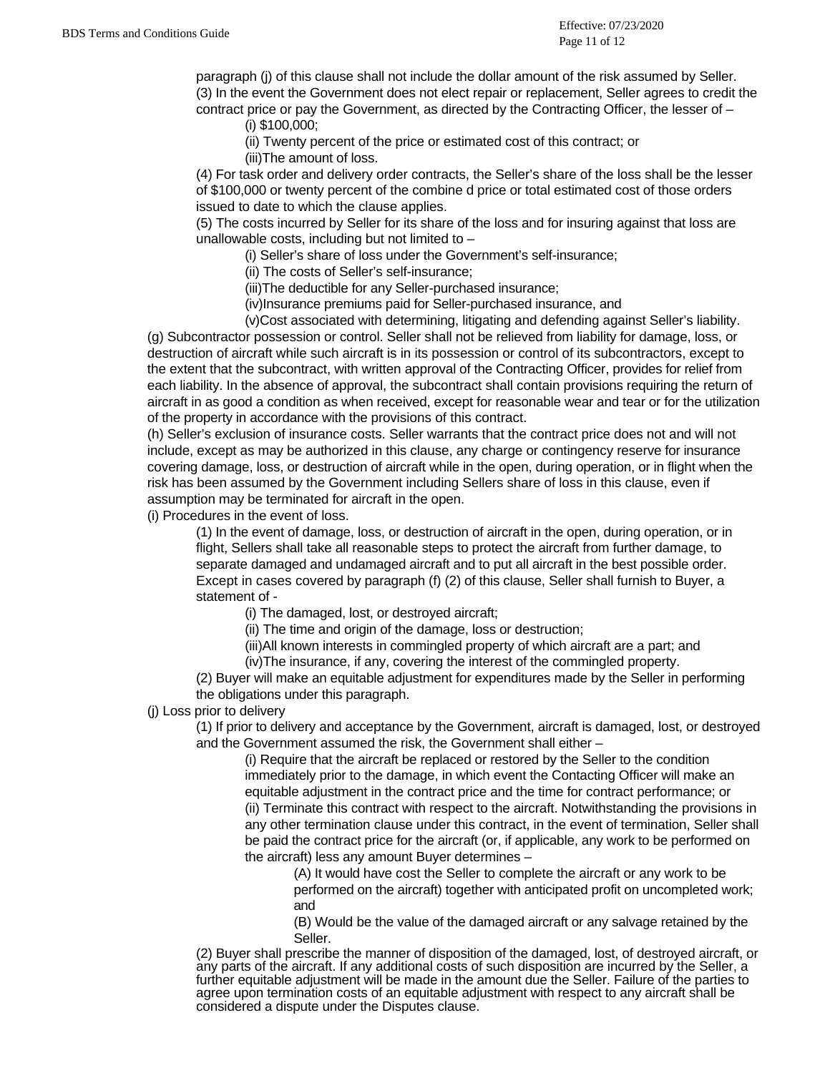paragraph (j) of this clause shall not include the dollar amount of the risk assumed by Seller. (3) In the event the Government does not elect repair or replacement, Seller agrees to credit the contract price or pay the Government, as directed by the Contracting Officer, the lesser of  $-$ 

(i) \$100,000;

(ii) Twenty percent of the price or estimated cost of this contract; or

(iii)The amount of loss.

(4) For task order and delivery order contracts, the Seller's share of the loss shall be the lesser of \$100,000 or twenty percent of the combine d price or total estimated cost of those orders issued to date to which the clause applies.

(5) The costs incurred by Seller for its share of the loss and for insuring against that loss are unallowable costs, including but not limited to –

(i) Seller's share of loss under the Government's self-insurance;

(ii) The costs of Seller's self-insurance;

(iii)The deductible for any Seller-purchased insurance;

(iv)Insurance premiums paid for Seller-purchased insurance, and

(v)Cost associated with determining, litigating and defending against Seller's liability.

(g) Subcontractor possession or control. Seller shall not be relieved from liability for damage, loss, or destruction of aircraft while such aircraft is in its possession or control of its subcontractors, except to the extent that the subcontract, with written approval of the Contracting Officer, provides for relief from each liability. In the absence of approval, the subcontract shall contain provisions requiring the return of aircraft in as good a condition as when received, except for reasonable wear and tear or for the utilization of the property in accordance with the provisions of this contract.

(h) Seller's exclusion of insurance costs. Seller warrants that the contract price does not and will not include, except as may be authorized in this clause, any charge or contingency reserve for insurance covering damage, loss, or destruction of aircraft while in the open, during operation, or in flight when the risk has been assumed by the Government including Sellers share of loss in this clause, even if assumption may be terminated for aircraft in the open.

(i) Procedures in the event of loss.

(1) In the event of damage, loss, or destruction of aircraft in the open, during operation, or in flight, Sellers shall take all reasonable steps to protect the aircraft from further damage, to separate damaged and undamaged aircraft and to put all aircraft in the best possible order. Except in cases covered by paragraph (f) (2) of this clause, Seller shall furnish to Buyer, a statement of -

(i) The damaged, lost, or destroyed aircraft;

(ii) The time and origin of the damage, loss or destruction;

(iii)All known interests in commingled property of which aircraft are a part; and

(iv)The insurance, if any, covering the interest of the commingled property.

(2) Buyer will make an equitable adjustment for expenditures made by the Seller in performing the obligations under this paragraph.

(j) Loss prior to delivery

(1) If prior to delivery and acceptance by the Government, aircraft is damaged, lost, or destroyed and the Government assumed the risk, the Government shall either –

(i) Require that the aircraft be replaced or restored by the Seller to the condition immediately prior to the damage, in which event the Contacting Officer will make an equitable adjustment in the contract price and the time for contract performance; or (ii) Terminate this contract with respect to the aircraft. Notwithstanding the provisions in any other termination clause under this contract, in the event of termination, Seller shall be paid the contract price for the aircraft (or, if applicable, any work to be performed on the aircraft) less any amount Buyer determines –

(A) It would have cost the Seller to complete the aircraft or any work to be performed on the aircraft) together with anticipated profit on uncompleted work; and

(B) Would be the value of the damaged aircraft or any salvage retained by the Seller.

(2) Buyer shall prescribe the manner of disposition of the damaged, lost, of destroyed aircraft, or any parts of the aircraft. If any additional costs of such disposition are incurred by the Seller, a further equitable adjustment will be made in the amount due the Seller. Failure of the parties to agree upon termination costs of an equitable adjustment with respect to any aircraft shall be considered a dispute under the Disputes clause.